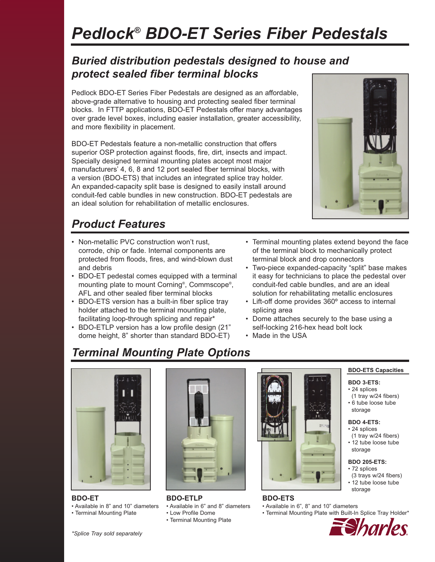# *Pedlock® BDO-ET Series Fiber Pedestals*

### *Buried distribution pedestals designed to house and protect sealed fiber terminal blocks*

Pedlock BDO-ET Series Fiber Pedestals are designed as an affordable, above-grade alternative to housing and protecting sealed fiber terminal blocks. In FTTP applications, BDO-ET Pedestals offer many advantages over grade level boxes, including easier installation, greater accessibility, and more flexibility in placement.

BDO-ET Pedestals feature a non-metallic construction that offers superior OSP protection against floods, fire, dirt, insects and impact. Specially designed terminal mounting plates accept most major manufacturers' 4, 6, 8 and 12 port sealed fiber terminal blocks, with a version (BDO-ETS) that includes an integrated splice tray holder. An expanded-capacity split base is designed to easily install around conduit-fed cable bundles in new construction. BDO-ET pedestals are an ideal solution for rehabilitation of metallic enclosures.

## *Product Features*

- Non-metallic PVC construction won't rust, corrode, chip or fade. Internal components are protected from floods, fires, and wind-blown dust and debris
- BDO-ET pedestal comes equipped with a terminal mounting plate to mount Corning®, Commscope®, AFL and other sealed fiber terminal blocks
- BDO-ETS version has a built-in fiber splice tray holder attached to the terminal mounting plate, facilitating loop-through splicing and repair\*
- BDO-ETLP version has a low profile design (21" dome height, 8" shorter than standard BDO-ET)
- Terminal mounting plates extend beyond the face of the terminal block to mechanically protect terminal block and drop connectors
- Two-piece expanded-capacity "split" base makes it easy for technicians to place the pedestal over conduit-fed cable bundles, and are an ideal solution for rehabilitating metallic enclosures
- Lift-off dome provides 360º access to internal splicing area
- Dome attaches securely to the base using a self-locking 216-hex head bolt lock
- Made in the USA

# *Terminal Mounting Plate Options*



**BDO-ET**

• Available in 8" and 10" diameters • Terminal Mounting Plate



**BDO-ETLP** • Available in 6" and 8" diameters • Low Profile Dome • Terminal Mounting Plate



### **BDO-ETS**

- Available in 6", 8" and 10" diameters
- Terminal Mounting Plate with Built-In Splice Tray Holder\*



#### **BDO 205-ETS:**

- 72 splices
- (3 trays w/24 fibers) • 12 tube loose tube storage



*\*Splice Tray sold separately* 

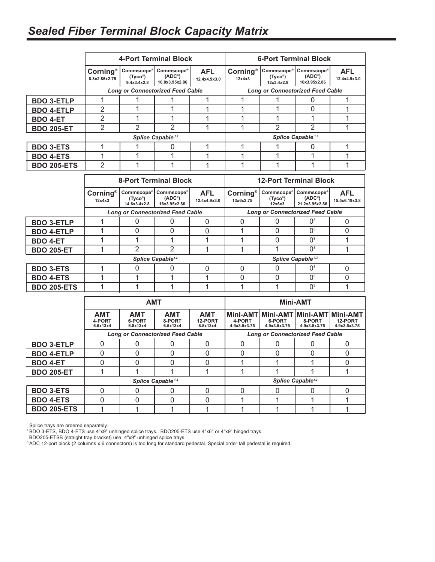## *Sealed Fiber Terminal Block Capacity Matrix*

|                    | 4-Port Terminal Block                   |                                                      |                                                                 | <b>6-Port Terminal Block</b>  |                                         |                                                    |                                                               |                             |
|--------------------|-----------------------------------------|------------------------------------------------------|-----------------------------------------------------------------|-------------------------------|-----------------------------------------|----------------------------------------------------|---------------------------------------------------------------|-----------------------------|
|                    | Corning®<br>8.8x2.85x2.75               | <b>Commscope®</b><br>$(Tyco^{\circ})$<br>9.4x3.4x2.8 | Commscope <sup>®</sup><br>(ADC <sup>°</sup> )<br>10.8x3.95x2.86 | <b>AFL</b><br>12.4x4.9x3.0    | <b>Corning®</b><br>12x4x3               | Commscope <sup>®</sup><br>$(Tyco^*)$<br>12x3.4x2.8 | Commscope <sup>®</sup><br>(ADC <sup>°</sup> )<br>16x3.95x2.86 | <b>AFL</b><br>12.4x4.9x3.0  |
|                    | <b>Long or Connectorized Feed Cable</b> |                                                      |                                                                 |                               | <b>Long or Connectorized Feed Cable</b> |                                                    |                                                               |                             |
| <b>BDO 3-ETLP</b>  | 1                                       | 1                                                    | 1                                                               | 1                             | 1                                       |                                                    | 0                                                             | 1                           |
| <b>BDO 4-ETLP</b>  | 2                                       | 1                                                    | 1                                                               | 1                             | 1                                       | 1                                                  | 0                                                             |                             |
| <b>BDO 4-ET</b>    | $\overline{2}$                          | 1                                                    | 1                                                               | 1                             | 1                                       | 1                                                  | 1                                                             | 1                           |
| <b>BDO 205-ET</b>  | $\overline{2}$                          | $\overline{2}$                                       | $\overline{2}$                                                  | 1                             | 1                                       | $\overline{2}$                                     | $\mathfrak{p}$                                                | 1                           |
|                    | Splice Capable <sup>1,2</sup>           |                                                      |                                                                 | Splice Capable <sup>1,2</sup> |                                         |                                                    |                                                               |                             |
| <b>BDO 3-ETS</b>   | 1                                       | 1                                                    | 0                                                               | 1                             | 1                                       | 1                                                  | 0                                                             | 1                           |
| <b>BDO 4-ETS</b>   | 1                                       | 1                                                    | 1                                                               | 1                             | 1                                       | 1                                                  | 1                                                             |                             |
| <b>BDO 205-ETS</b> | $\overline{2}$                          | 1                                                    | 1                                                               | 1                             | 1                                       | 1                                                  | 1                                                             |                             |
|                    |                                         |                                                      |                                                                 |                               |                                         |                                                    |                                                               |                             |
|                    | <b>8-Port Terminal Block</b>            |                                                      |                                                                 |                               |                                         |                                                    |                                                               |                             |
|                    |                                         |                                                      |                                                                 |                               |                                         |                                                    | <b>12-Port Terminal Block</b>                                 |                             |
|                    | Corning®<br>12x4x3                      | Commscope®<br>(Tyco®)<br>14.6x3.4x2.8                | <b>Commscope®</b><br>$(ADC^{\circ})$<br>16x3.95x2.86            | <b>AFL</b><br>12.4x4.9x3.0    | <b>Corning®</b><br>13x6x2.75            | Commscope®<br>(Tyco®)<br>12x6x3                    | Commscope®<br>$(ADC^{\circ})$<br>21.2x3.95x2.86               | <b>AFL</b><br>15.5x6.19x3.8 |
|                    |                                         |                                                      | <b>Long or Connectorized Feed Cable</b>                         |                               |                                         |                                                    | <b>Long or Connectorized Feed Cable</b>                       |                             |
| <b>BDO 3-ETLP</b>  | 1                                       | $\mathbf{0}$                                         | $\mathbf{0}$                                                    | $\Omega$                      | $\mathbf 0$                             | 0                                                  | $\Omega$ <sup>3</sup>                                         | $\Omega$                    |
| <b>BDO 4-ETLP</b>  | 1                                       | 0                                                    | $\Omega$                                                        | $\mathbf{0}$                  | 1                                       | 0                                                  | $\mathbf{O}^3$                                                | $\Omega$                    |
| <b>BDO 4-ET</b>    | 1                                       | 1                                                    | 1                                                               | 1                             | 1                                       | 0                                                  | 0 <sup>3</sup>                                                | 1                           |
| <b>BDO 205-ET</b>  | 1                                       | 2                                                    | $\overline{2}$                                                  | 1                             | 1                                       | 1                                                  | $\Omega$ <sup>3</sup>                                         | 1                           |
|                    |                                         |                                                      | Splice Capable <sup>1,2</sup>                                   |                               |                                         |                                                    | Splice Capable <sup>1,2</sup>                                 |                             |
| <b>BDO 3-ETS</b>   | 1                                       | 0                                                    | $\overline{0}$                                                  | $\mathbf{0}$                  | $\mathbf 0$                             | 0                                                  | $\Omega^3$                                                    | $\overline{0}$              |
| <b>BDO 4-ETS</b>   | 1                                       | 1                                                    | 1                                                               | $\mathbf{1}$                  | $\overline{0}$                          | 0                                                  | $\Omega$ <sup>3</sup>                                         | $\Omega$                    |
| <b>BDO 205-ETS</b> | 1                                       | 1                                                    | 1                                                               | 1                             | 1                                       | 1                                                  | $\Omega$ <sup>3</sup>                                         | 1                           |

|                    | <b>AMT</b>                              |                                  |                                  |                                   | <b>Mini-AMT</b>                         |                        |                                                               |                         |
|--------------------|-----------------------------------------|----------------------------------|----------------------------------|-----------------------------------|-----------------------------------------|------------------------|---------------------------------------------------------------|-------------------------|
|                    | <b>AMT</b><br>4-PORT<br>6.5x13x4        | <b>AMT</b><br>6-PORT<br>6.5x13x4 | <b>AMT</b><br>8-PORT<br>6.5x13x4 | <b>AMT</b><br>12-PORT<br>6.5x13x4 | 4-PORT<br>4.9x3.5x3.75                  | 6-PORT<br>4.9x3.5x3.75 | Mini-AMT Mini-AMT Mini-AMT Mini-AMT<br>8-PORT<br>4.9x3.5x3.75 | 12-PORT<br>4.9x3.5x3.75 |
|                    | <b>Long or Connectorized Feed Cable</b> |                                  |                                  |                                   | <b>Long or Connectorized Feed Cable</b> |                        |                                                               |                         |
| <b>BDO 3-ETLP</b>  |                                         |                                  |                                  |                                   |                                         |                        |                                                               |                         |
| <b>BDO 4-ETLP</b>  | 0                                       | 0                                |                                  |                                   |                                         |                        |                                                               |                         |
| <b>BDO 4-ET</b>    | 0                                       | O                                | 0                                |                                   |                                         |                        |                                                               |                         |
| <b>BDO 205-ET</b>  |                                         |                                  |                                  |                                   |                                         |                        |                                                               |                         |
|                    | Splice Capable <sup>1,2</sup>           |                                  |                                  |                                   | Splice Capable <sup>1,2</sup>           |                        |                                                               |                         |
| <b>BDO 3-ETS</b>   | 0                                       | ი                                | ი                                |                                   |                                         |                        | 0                                                             |                         |
| <b>BDO 4-ETS</b>   | 0                                       | O                                |                                  |                                   |                                         |                        |                                                               |                         |
| <b>BDO 205-ETS</b> |                                         |                                  |                                  |                                   |                                         |                        |                                                               |                         |

1 Splice trays are ordered separately.

2 BDO 3-ETS, BDO 4-ETS use 4"x9" unhinged splice trays. BDO205-ETS use 4"x6" or 4"x9" hinged trays.

BDO205-ETSB (straight tray bracket) use 4"x9" unhinged splice trays.

<sup>3</sup> ADC 12-port block (2 columns x 6 connectors) is too long for standard pedestal. Special order tall pedestal is required.